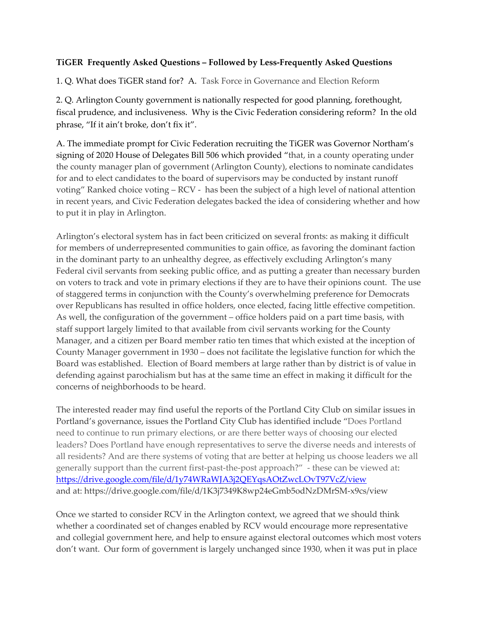## **TiGER Frequently Asked Questions – Followed by Less-Frequently Asked Questions**

1. Q. What does TiGER stand for? A. Task Force in Governance and Election Reform

2. Q. Arlington County government is nationally respected for good planning, forethought, fiscal prudence, and inclusiveness. Why is the Civic Federation considering reform? In the old phrase, "If it ain't broke, don't fix it".

A. The immediate prompt for Civic Federation recruiting the TiGER was Governor Northam's signing of 2020 House of Delegates Bill 506 which provided "that, in a county operating under the county manager plan of government (Arlington County), elections to nominate candidates for and to elect candidates to the board of supervisors may be conducted by instant runoff voting" Ranked choice voting – RCV - has been the subject of a high level of national attention in recent years, and Civic Federation delegates backed the idea of considering whether and how to put it in play in Arlington.

Arlington's electoral system has in fact been criticized on several fronts: as making it difficult for members of underrepresented communities to gain office, as favoring the dominant faction in the dominant party to an unhealthy degree, as effectively excluding Arlington's many Federal civil servants from seeking public office, and as putting a greater than necessary burden on voters to track and vote in primary elections if they are to have their opinions count. The use of staggered terms in conjunction with the County's overwhelming preference for Democrats over Republicans has resulted in office holders, once elected, facing little effective competition. As well, the configuration of the government – office holders paid on a part time basis, with staff support largely limited to that available from civil servants working for the County Manager, and a citizen per Board member ratio ten times that which existed at the inception of County Manager government in 1930 – does not facilitate the legislative function for which the Board was established. Election of Board members at large rather than by district is of value in defending against parochialism but has at the same time an effect in making it difficult for the concerns of neighborhoods to be heard.

The interested reader may find useful the reports of the Portland City Club on similar issues in Portland's governance, issues the Portland City Club has identified include "Does Portland need to continue to run primary elections, or are there better ways of choosing our elected leaders? Does Portland have enough representatives to serve the diverse needs and interests of all residents? And are there systems of voting that are better at helping us choose leaders we all generally support than the current first-past-the-post approach?" - these can be viewed at: <https://drive.google.com/file/d/1y74WRaWJA3j2QEYqsAOtZwcLOvT97VcZ/view> and at: https://drive.google.com/file/d/1K3j7349K8wp24eGmb5odNzDMrSM-x9cs/view

Once we started to consider RCV in the Arlington context, we agreed that we should think whether a coordinated set of changes enabled by RCV would encourage more representative and collegial government here, and help to ensure against electoral outcomes which most voters don't want. Our form of government is largely unchanged since 1930, when it was put in place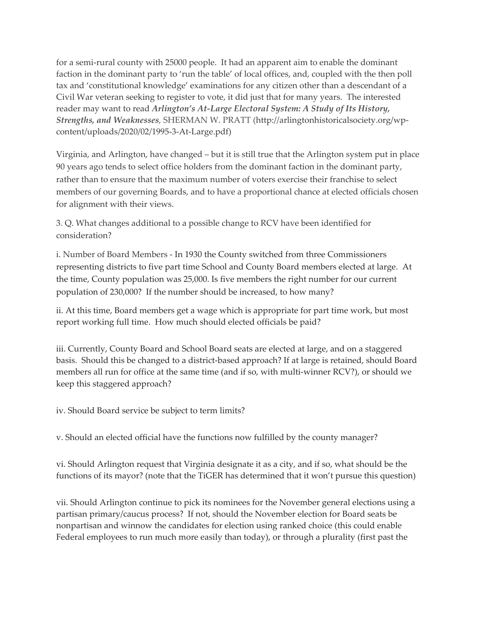for a semi-rural county with 25000 people. It had an apparent aim to enable the dominant faction in the dominant party to 'run the table' of local offices, and, coupled with the then poll tax and 'constitutional knowledge' examinations for any citizen other than a descendant of a Civil War veteran seeking to register to vote, it did just that for many years. The interested reader may want to read *[Arlington's At-Large Electoral System: A Study of Its History,](http://arlingtonhistoricalsociety.org/wp-content/uploads/2020/02/1995-3-At-Large.pdf)  [Strengths, and Weaknesses](http://arlingtonhistoricalsociety.org/wp-content/uploads/2020/02/1995-3-At-Large.pdf)*, SHERMAN W. PRATT (http://arlingtonhistoricalsociety.org/wpcontent/uploads/2020/02/1995-3-At-Large.pdf)

Virginia, and Arlington, have changed – but it is still true that the Arlington system put in place 90 years ago tends to select office holders from the dominant faction in the dominant party, rather than to ensure that the maximum number of voters exercise their franchise to select members of our governing Boards, and to have a proportional chance at elected officials chosen for alignment with their views.

3. Q. What changes additional to a possible change to RCV have been identified for consideration?

i. Number of Board Members - In 1930 the County switched from three Commissioners representing districts to five part time School and County Board members elected at large. At the time, County population was 25,000. Is five members the right number for our current population of 230,000? If the number should be increased, to how many?

ii. At this time, Board members get a wage which is appropriate for part time work, but most report working full time. How much should elected officials be paid?

iii. Currently, County Board and School Board seats are elected at large, and on a staggered basis. Should this be changed to a district-based approach? If at large is retained, should Board members all run for office at the same time (and if so, with multi-winner RCV?), or should we keep this staggered approach?

iv. Should Board service be subject to term limits?

v. Should an elected official have the functions now fulfilled by the county manager?

vi. Should Arlington request that Virginia designate it as a city, and if so, what should be the functions of its mayor? (note that the TiGER has determined that it won't pursue this question)

vii. Should Arlington continue to pick its nominees for the November general elections using a partisan primary/caucus process? If not, should the November election for Board seats be nonpartisan and winnow the candidates for election using ranked choice (this could enable Federal employees to run much more easily than today), or through a plurality (first past the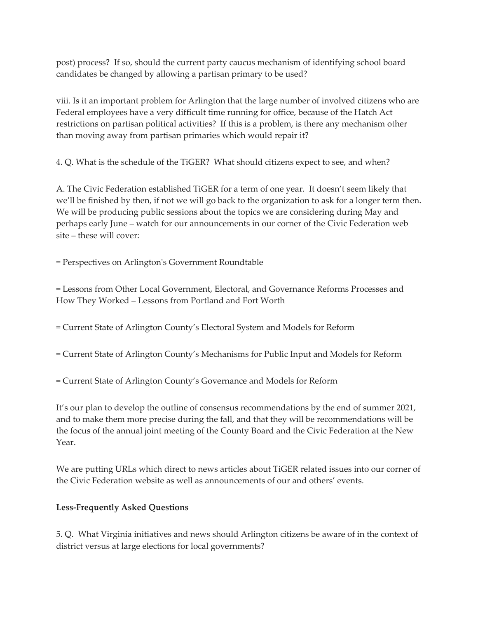post) process? If so, should the current party caucus mechanism of identifying school board candidates be changed by allowing a partisan primary to be used?

viii. Is it an important problem for Arlington that the large number of involved citizens who are Federal employees have a very difficult time running for office, because of the Hatch Act restrictions on partisan political activities? If this is a problem, is there any mechanism other than moving away from partisan primaries which would repair it?

4. Q. What is the schedule of the TiGER? What should citizens expect to see, and when?

A. The Civic Federation established TiGER for a term of one year. It doesn't seem likely that we'll be finished by then, if not we will go back to the organization to ask for a longer term then. We will be producing public sessions about the topics we are considering during May and perhaps early June – watch for our announcements in our corner of the Civic Federation web site – these will cover:

= Perspectives on Arlington's Government Roundtable

= Lessons from Other Local Government, Electoral, and Governance Reforms Processes and How They Worked – Lessons from Portland and Fort Worth

= Current State of Arlington County's Electoral System and Models for Reform

- = Current State of Arlington County's Mechanisms for Public Input and Models for Reform
- = Current State of Arlington County's Governance and Models for Reform

It's our plan to develop the outline of consensus recommendations by the end of summer 2021, and to make them more precise during the fall, and that they will be recommendations will be the focus of the annual joint meeting of the County Board and the Civic Federation at the New Year.

We are putting URLs which direct to news articles about TiGER related issues into our corner of the Civic Federation website as well as announcements of our and others' events.

## **Less-Frequently Asked Questions**

5. Q. What Virginia initiatives and news should Arlington citizens be aware of in the context of district versus at large elections for local governments?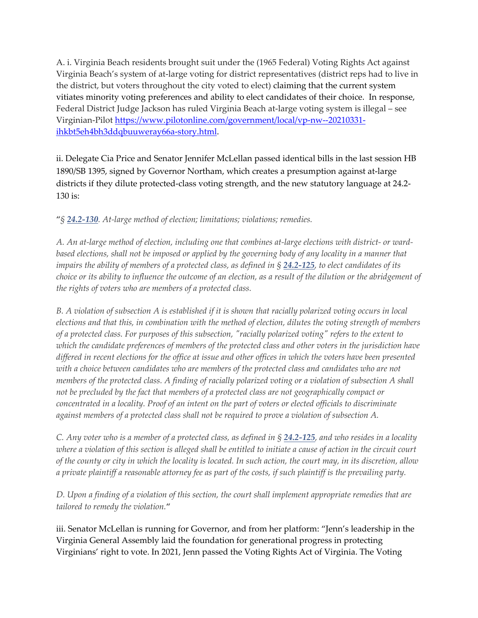A. i. Virginia Beach residents brought suit under the (1965 Federal) Voting Rights Act against Virginia Beach's system of at-large voting for district representatives (district reps had to live in the district, but voters throughout the city voted to elect) claiming that the current system vitiates minority voting preferences and ability to elect candidates of their choice. In response, Federal District Judge Jackson has ruled Virginia Beach at-large voting system is illegal – see Virginian-Pilot [https://www.pilotonline.com/government/local/vp-nw--20210331](https://www.pilotonline.com/government/local/vp-nw--20210331-ihkbt5eh4bh3ddqbuuweray66a-story.html) [ihkbt5eh4bh3ddqbuuweray66a-story.html.](https://www.pilotonline.com/government/local/vp-nw--20210331-ihkbt5eh4bh3ddqbuuweray66a-story.html)

ii. Delegate Cia Price and Senator Jennifer McLellan passed identical bills in the last session HB 1890/SB 1395, signed by Governor Northam, which creates a presumption against at-large districts if they dilute protected-class voting strength, and the new statutory language at 24.2- 130 is:

## "*§ [24.2-130](http://law.lis.virginia.gov/vacode/24.2-130). At-large method of election; limitations; violations; remedies.*

*A. An at-large method of election, including one that combines at-large elections with district- or ward*based elections, shall not be imposed or applied by the governing body of any locality in a manner that *impairs the ability of members of a protected class, as defined in § [24.2-125](http://law.lis.virginia.gov/vacode/24.2-125), to elect candidates of its choice or its ability to influence the outcome of an election, as a result of the dilution or the abridgement of the rights of voters who are members of a protected class.*

*B. A violation of subsection A is established if it is shown that racially polarized voting occurs in local elections and that this, in combination with the method of election, dilutes the voting strength of members of a protected class. For purposes of this subsection, "racially polarized voting" refers to the extent to which the candidate preferences of members of the protected class and other voters in the jurisdiction have differed in recent elections for the office at issue and other offices in which the voters have been presented*  with a choice between candidates who are members of the protected class and candidates who are not *members of the protected class. A finding of racially polarized voting or a violation of subsection A shall not be precluded by the fact that members of a protected class are not geographically compact or concentrated in a locality. Proof of an intent on the part of voters or elected officials to discriminate against members of a protected class shall not be required to prove a violation of subsection A.*

*C. Any voter who is a member of a protected class, as defined in § [24.2-125](http://law.lis.virginia.gov/vacode/24.2-125), and who resides in a locality where a violation of this section is alleged shall be entitled to initiate a cause of action in the circuit court of the county or city in which the locality is located. In such action, the court may, in its discretion, allow a private plaintiff a reasonable attorney fee as part of the costs, if such plaintiff is the prevailing party.*

*D. Upon a finding of a violation of this section, the court shall implement appropriate remedies that are tailored to remedy the violation.*"

iii. Senator McLellan is running for Governor, and from her platform: "Jenn's leadership in the Virginia General Assembly laid the foundation for generational progress in protecting Virginians' right to vote. In 2021, Jenn passed the Voting Rights Act of Virginia. The Voting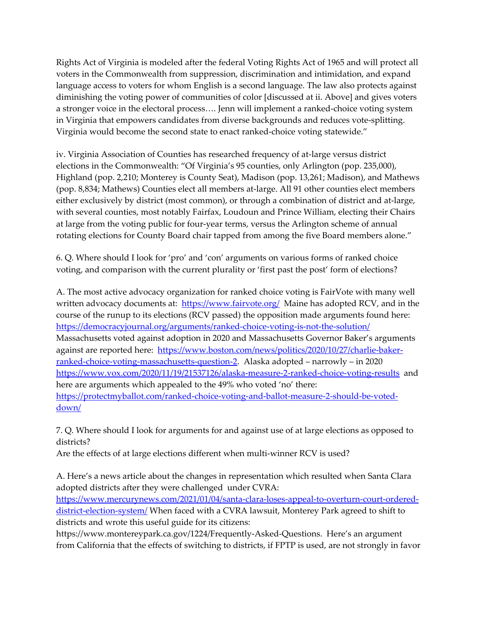Rights Act of Virginia is modeled after the federal Voting Rights Act of 1965 and will protect all voters in the Commonwealth from suppression, discrimination and intimidation, and expand language access to voters for whom English is a second language. The law also protects against diminishing the voting power of communities of color [discussed at ii. Above] and gives voters a stronger voice in the electoral process…. Jenn will implement a ranked-choice voting system in Virginia that empowers candidates from diverse backgrounds and reduces vote-splitting. Virginia would become the second state to enact ranked-choice voting statewide."

iv. Virginia Association of Counties has researched frequency of at-large versus district elections in the Commonwealth: "Of Virginia's 95 counties, only Arlington (pop. 235,000), Highland (pop. 2,210; Monterey is County Seat), Madison (pop. 13,261; Madison), and Mathews (pop. 8,834; Mathews) Counties elect all members at-large. All 91 other counties elect members either exclusively by district (most common), or through a combination of district and at-large, with several counties, most notably Fairfax, Loudoun and Prince William, electing their Chairs at large from the voting public for four-year terms, versus the Arlington scheme of annual rotating elections for County Board chair tapped from among the five Board members alone."

6. Q. Where should I look for 'pro' and 'con' arguments on various forms of ranked choice voting, and comparison with the current plurality or 'first past the post' form of elections?

A. The most active advocacy organization for ranked choice voting is FairVote with many well written advocacy documents at: <https://www.fairvote.org/>Maine has adopted RCV, and in the course of the runup to its elections (RCV passed) the opposition made arguments found here: <https://democracyjournal.org/arguments/ranked-choice-voting-is-not-the-solution/> Massachusetts voted against adoption in 2020 and Massachusetts Governor Baker's arguments against are reported here: [https://www.boston.com/news/politics/2020/10/27/charlie-baker](https://www.boston.com/news/politics/2020/10/27/charlie-baker-ranked-choice-voting-massachusetts-question-2)[ranked-choice-voting-massachusetts-question-2.](https://www.boston.com/news/politics/2020/10/27/charlie-baker-ranked-choice-voting-massachusetts-question-2) Alaska adopted – narrowly – in 2020 <https://www.vox.com/2020/11/19/21537126/alaska-measure-2-ranked-choice-voting-results> and here are arguments which appealed to the 49% who voted 'no' there: [https://protectmyballot.com/ranked-choice-voting-and-ballot-measure-2-should-be-voted](https://protectmyballot.com/ranked-choice-voting-and-ballot-measure-2-should-be-voted-down/)[down/](https://protectmyballot.com/ranked-choice-voting-and-ballot-measure-2-should-be-voted-down/)

7. Q. Where should I look for arguments for and against use of at large elections as opposed to districts?

Are the effects of at large elections different when multi-winner RCV is used?

A. Here's a news article about the changes in representation which resulted when Santa Clara adopted districts after they were challenged under CVRA: [https://www.mercurynews.com/2021/01/04/santa-clara-loses-appeal-to-overturn-court-ordered](https://www.mercurynews.com/2021/01/04/santa-clara-loses-appeal-to-overturn-court-ordered-district-election-system/)[district-election-system/](https://www.mercurynews.com/2021/01/04/santa-clara-loses-appeal-to-overturn-court-ordered-district-election-system/) When faced with a CVRA lawsuit, Monterey Park agreed to shift to districts and wrote this useful guide for its citizens:

https://www.montereypark.ca.gov/1224/Frequently-Asked-Questions. Here's an argument from California that the effects of switching to districts, if FPTP is used, are not strongly in favor